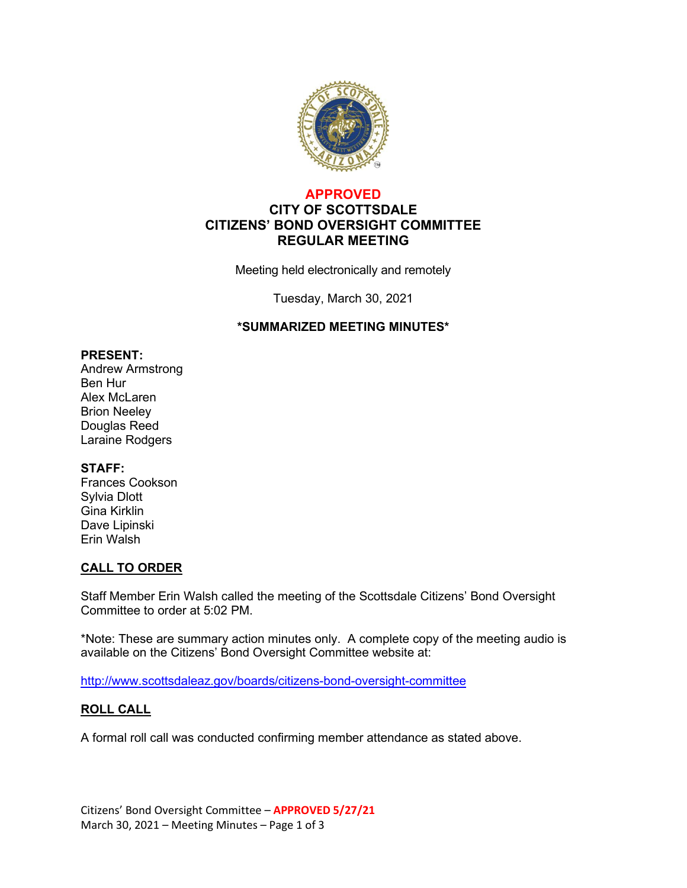

## **APPROVED CITY OF SCOTTSDALE CITIZENS' BOND OVERSIGHT COMMITTEE REGULAR MEETING**

Meeting held electronically and remotely

Tuesday, March 30, 2021

### **\*SUMMARIZED MEETING MINUTES\***

#### **PRESENT:**

Andrew Armstrong Ben Hur Alex McLaren Brion Neeley Douglas Reed Laraine Rodgers

### **STAFF:**

Frances Cookson Sylvia Dlott Gina Kirklin Dave Lipinski Erin Walsh

## **CALL TO ORDER**

Staff Member Erin Walsh called the meeting of the Scottsdale Citizens' Bond Oversight Committee to order at 5:02 PM.

\*Note: These are summary action minutes only. A complete copy of the meeting audio is available on the Citizens' Bond Oversight Committee website at:

<http://www.scottsdaleaz.gov/boards/citizens-bond-oversight-committee>

### **ROLL CALL**

A formal roll call was conducted confirming member attendance as stated above.

Citizens' Bond Oversight Committee – **APPROVED 5/27/21** March 30, 2021 – Meeting Minutes – Page 1 of 3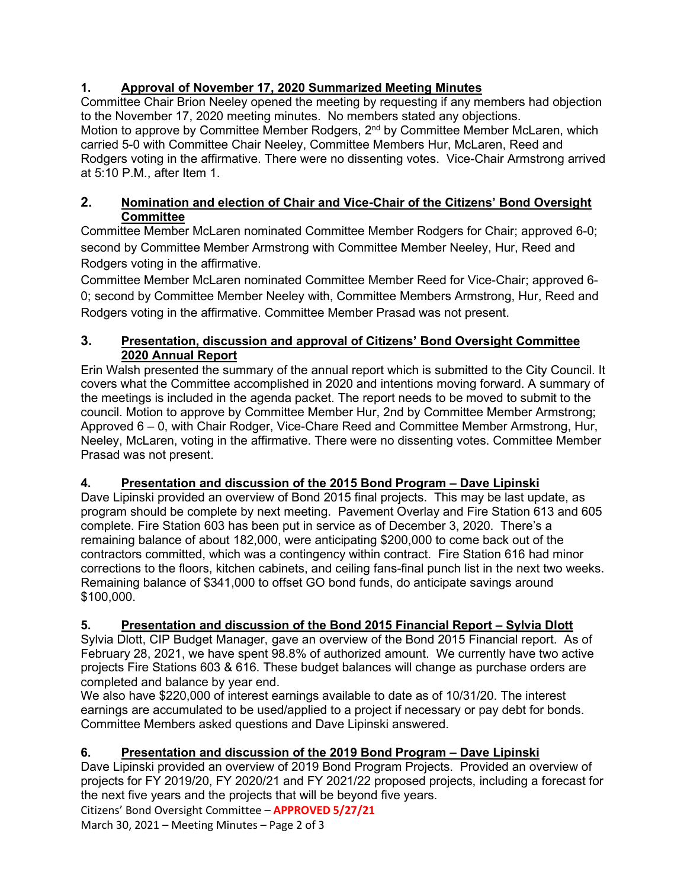# **1. Approval of November 17, 2020 Summarized Meeting Minutes**

Committee Chair Brion Neeley opened the meeting by requesting if any members had objection to the November 17, 2020 meeting minutes. No members stated any objections. Motion to approve by Committee Member Rodgers, 2<sup>nd</sup> by Committee Member McLaren, which carried 5-0 with Committee Chair Neeley, Committee Members Hur, McLaren, Reed and Rodgers voting in the affirmative. There were no dissenting votes. Vice-Chair Armstrong arrived at 5:10 P.M., after Item 1.

# **2. Nomination and election of Chair and Vice-Chair of the Citizens' Bond Oversight Committee**

Committee Member McLaren nominated Committee Member Rodgers for Chair; approved 6-0; second by Committee Member Armstrong with Committee Member Neeley, Hur, Reed and Rodgers voting in the affirmative.

Committee Member McLaren nominated Committee Member Reed for Vice-Chair; approved 6- 0; second by Committee Member Neeley with, Committee Members Armstrong, Hur, Reed and Rodgers voting in the affirmative. Committee Member Prasad was not present.

# **3. Presentation, discussion and approval of Citizens' Bond Oversight Committee 2020 Annual Report**

Erin Walsh presented the summary of the annual report which is submitted to the City Council. It covers what the Committee accomplished in 2020 and intentions moving forward. A summary of the meetings is included in the agenda packet. The report needs to be moved to submit to the council. Motion to approve by Committee Member Hur, 2nd by Committee Member Armstrong; Approved 6 – 0, with Chair Rodger, Vice-Chare Reed and Committee Member Armstrong, Hur, Neeley, McLaren, voting in the affirmative. There were no dissenting votes. Committee Member Prasad was not present.

# **4. Presentation and discussion of the 2015 Bond Program – Dave Lipinski**

Dave Lipinski provided an overview of Bond 2015 final projects. This may be last update, as program should be complete by next meeting. Pavement Overlay and Fire Station 613 and 605 complete. Fire Station 603 has been put in service as of December 3, 2020. There's a remaining balance of about 182,000, were anticipating \$200,000 to come back out of the contractors committed, which was a contingency within contract. Fire Station 616 had minor corrections to the floors, kitchen cabinets, and ceiling fans-final punch list in the next two weeks. Remaining balance of \$341,000 to offset GO bond funds, do anticipate savings around \$100,000.

# **5. Presentation and discussion of the Bond 2015 Financial Report – Sylvia Dlott**

Sylvia Dlott, CIP Budget Manager, gave an overview of the Bond 2015 Financial report. As of February 28, 2021, we have spent 98.8% of authorized amount. We currently have two active projects Fire Stations 603 & 616. These budget balances will change as purchase orders are completed and balance by year end.

We also have \$220,000 of interest earnings available to date as of 10/31/20. The interest earnings are accumulated to be used/applied to a project if necessary or pay debt for bonds. Committee Members asked questions and Dave Lipinski answered.

# **6. Presentation and discussion of the 2019 Bond Program – Dave Lipinski**

Dave Lipinski provided an overview of 2019 Bond Program Projects. Provided an overview of projects for FY 2019/20, FY 2020/21 and FY 2021/22 proposed projects, including a forecast for the next five years and the projects that will be beyond five years.

Citizens' Bond Oversight Committee – **APPROVED 5/27/21**

March 30, 2021 – Meeting Minutes – Page 2 of 3